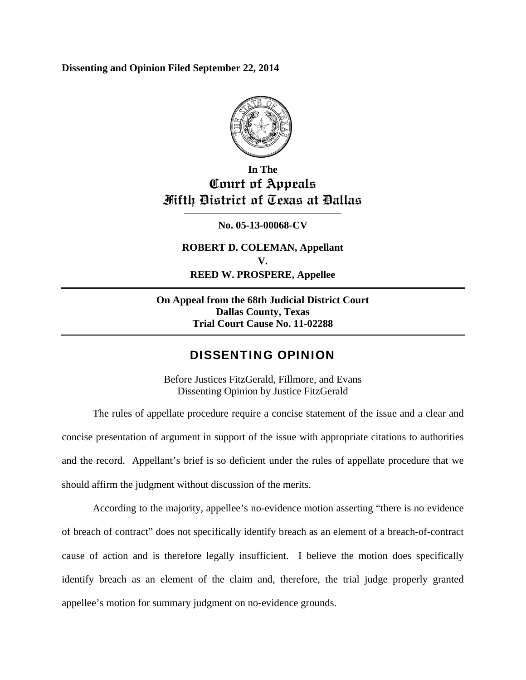**Dissenting and Opinion Filed September 22, 2014** 



# **In The Court of Appeals Fifth District of Texas at Dallas**

**No. 05-13-00068-CV** 

**ROBERT D. COLEMAN, Appellant V. REED W. PROSPERE, Appellee** 

**On Appeal from the 68th Judicial District Court Dallas County, Texas Trial Court Cause No. 11-02288** 

## DISSENTING OPINION

Before Justices FitzGerald, Fillmore, and Evans Dissenting Opinion by Justice FitzGerald

The rules of appellate procedure require a concise statement of the issue and a clear and concise presentation of argument in support of the issue with appropriate citations to authorities and the record. Appellant's brief is so deficient under the rules of appellate procedure that we should affirm the judgment without discussion of the merits.

According to the majority, appellee's no-evidence motion asserting "there is no evidence of breach of contract" does not specifically identify breach as an element of a breach-of-contract cause of action and is therefore legally insufficient. I believe the motion does specifically identify breach as an element of the claim and, therefore, the trial judge properly granted appellee's motion for summary judgment on no-evidence grounds.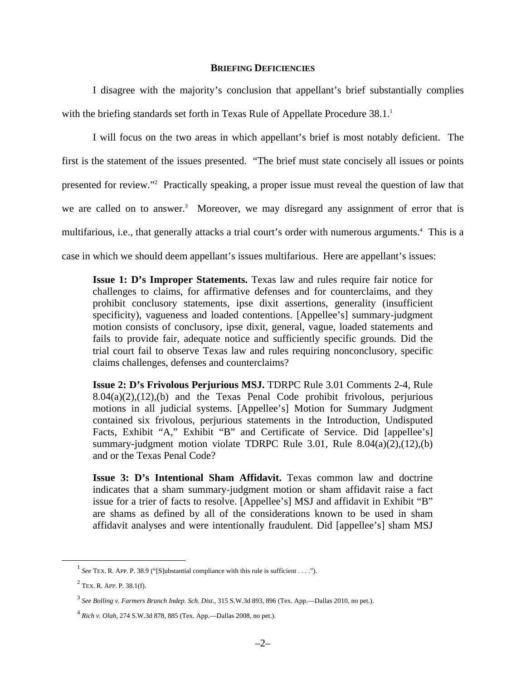#### **BRIEFING DEFICIENCIES**

I disagree with the majority's conclusion that appellant's brief substantially complies with the briefing standards set forth in Texas Rule of Appellate Procedure  $38.1<sup>1</sup>$ 

I will focus on the two areas in which appellant's brief is most notably deficient. The first is the statement of the issues presented. "The brief must state concisely all issues or points presented for review."2 Practically speaking, a proper issue must reveal the question of law that we are called on to answer.<sup>3</sup> Moreover, we may disregard any assignment of error that is multifarious, i.e., that generally attacks a trial court's order with numerous arguments.<sup>4</sup> This is a case in which we should deem appellant's issues multifarious. Here are appellant's issues:

**Issue 1: D's Improper Statements.** Texas law and rules require fair notice for challenges to claims, for affirmative defenses and for counterclaims, and they prohibit conclusory statements, ipse dixit assertions, generality (insufficient specificity), vagueness and loaded contentions. [Appellee's] summary-judgment motion consists of conclusory, ipse dixit, general, vague, loaded statements and fails to provide fair, adequate notice and sufficiently specific grounds. Did the trial court fail to observe Texas law and rules requiring nonconclusory, specific claims challenges, defenses and counterclaims?

**Issue 2: D's Frivolous Perjurious MSJ.** TDRPC Rule 3.01 Comments 2-4, Rule  $8.04(a)(2),(12),(b)$  and the Texas Penal Code prohibit frivolous, perjurious motions in all judicial systems. [Appellee's] Motion for Summary Judgment contained six frivolous, perjurious statements in the Introduction, Undisputed Facts, Exhibit "A," Exhibit "B" and Certificate of Service. Did [appellee's] summary-judgment motion violate TDRPC Rule 3.01, Rule 8.04(a)(2),(12),(b) and or the Texas Penal Code?

**Issue 3: D's Intentional Sham Affidavit.** Texas common law and doctrine indicates that a sham summary-judgment motion or sham affidavit raise a fact issue for a trier of facts to resolve. [Appellee's] MSJ and affidavit in Exhibit "B" are shams as defined by all of the considerations known to be used in sham affidavit analyses and were intentionally fraudulent. Did [appellee's] sham MSJ

<sup>&</sup>lt;sup>1</sup> See TEX. R. APP. P. 38.9 ("[S]ubstantial compliance with this rule is sufficient . . . .").

 $2$  Tex. R. App. P. 38.1(f).

<sup>3</sup> *See Bolling v. Farmers Branch Indep. Sch. Dist.*, 315 S.W.3d 893, 896 (Tex. App.—Dallas 2010, no pet.).

<sup>4</sup> *Rich v. Olah*, 274 S.W.3d 878, 885 (Tex. App.—Dallas 2008, no pet.).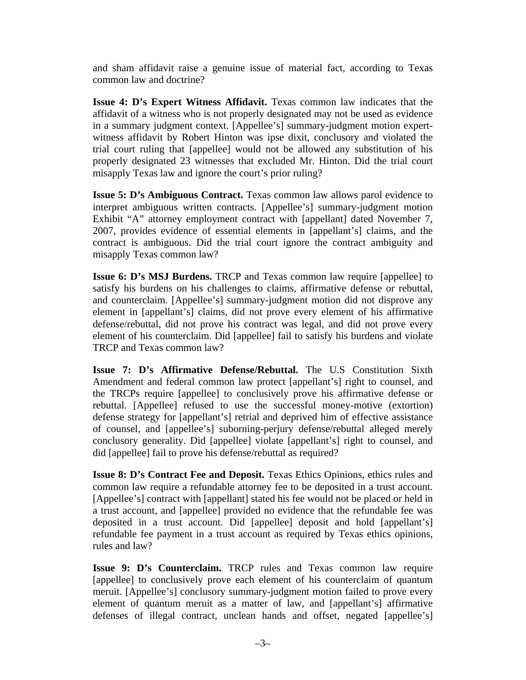and sham affidavit raise a genuine issue of material fact, according to Texas common law and doctrine?

**Issue 4: D's Expert Witness Affidavit.** Texas common law indicates that the affidavit of a witness who is not properly designated may not be used as evidence in a summary judgment context. [Appellee's] summary-judgment motion expertwitness affidavit by Robert Hinton was ipse dixit, conclusory and violated the trial court ruling that [appellee] would not be allowed any substitution of his properly designated 23 witnesses that excluded Mr. Hinton. Did the trial court misapply Texas law and ignore the court's prior ruling?

**Issue 5: D's Ambiguous Contract.** Texas common law allows parol evidence to interpret ambiguous written contracts. [Appellee's] summary-judgment motion Exhibit "A" attorney employment contract with [appellant] dated November 7, 2007, provides evidence of essential elements in [appellant's] claims, and the contract is ambiguous. Did the trial court ignore the contract ambiguity and misapply Texas common law?

**Issue 6: D's MSJ Burdens.** TRCP and Texas common law require [appellee] to satisfy his burdens on his challenges to claims, affirmative defense or rebuttal, and counterclaim. [Appellee's] summary-judgment motion did not disprove any element in [appellant's] claims, did not prove every element of his affirmative defense/rebuttal, did not prove his contract was legal, and did not prove every element of his counterclaim. Did [appellee] fail to satisfy his burdens and violate TRCP and Texas common law?

**Issue 7: D's Affirmative Defense/Rebuttal.** The U.S Constitution Sixth Amendment and federal common law protect [appellant's] right to counsel, and the TRCPs require [appellee] to conclusively prove his affirmative defense or rebuttal. [Appellee] refused to use the successful money-motive (extortion) defense strategy for [appellant's] retrial and deprived him of effective assistance of counsel, and [appellee's] suborning-perjury defense/rebuttal alleged merely conclusory generality. Did [appellee] violate [appellant's] right to counsel, and did [appellee] fail to prove his defense/rebuttal as required?

**Issue 8: D's Contract Fee and Deposit.** Texas Ethics Opinions, ethics rules and common law require a refundable attorney fee to be deposited in a trust account. [Appellee's] contract with [appellant] stated his fee would not be placed or held in a trust account, and [appellee] provided no evidence that the refundable fee was deposited in a trust account. Did [appellee] deposit and hold [appellant's] refundable fee payment in a trust account as required by Texas ethics opinions, rules and law?

**Issue 9: D's Counterclaim.** TRCP rules and Texas common law require [appellee] to conclusively prove each element of his counterclaim of quantum meruit. [Appellee's] conclusory summary-judgment motion failed to prove every element of quantum meruit as a matter of law, and [appellant's] affirmative defenses of illegal contract, unclean hands and offset, negated [appellee's]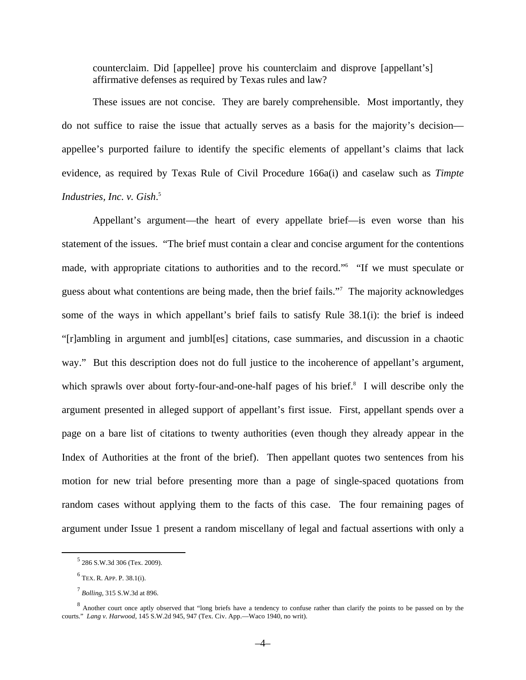counterclaim. Did [appellee] prove his counterclaim and disprove [appellant's] affirmative defenses as required by Texas rules and law?

These issues are not concise. They are barely comprehensible. Most importantly, they do not suffice to raise the issue that actually serves as a basis for the majority's decision appellee's purported failure to identify the specific elements of appellant's claims that lack evidence, as required by Texas Rule of Civil Procedure 166a(i) and caselaw such as *Timpte Industries, Inc. v. Gish*. 5

Appellant's argument—the heart of every appellate brief—is even worse than his statement of the issues. "The brief must contain a clear and concise argument for the contentions made, with appropriate citations to authorities and to the record."<sup>6</sup> "If we must speculate or guess about what contentions are being made, then the brief fails."7 The majority acknowledges some of the ways in which appellant's brief fails to satisfy Rule 38.1(i): the brief is indeed "[r]ambling in argument and jumbl[es] citations, case summaries, and discussion in a chaotic way." But this description does not do full justice to the incoherence of appellant's argument, which sprawls over about forty-four-and-one-half pages of his brief.<sup>8</sup> I will describe only the argument presented in alleged support of appellant's first issue. First, appellant spends over a page on a bare list of citations to twenty authorities (even though they already appear in the Index of Authorities at the front of the brief). Then appellant quotes two sentences from his motion for new trial before presenting more than a page of single-spaced quotations from random cases without applying them to the facts of this case. The four remaining pages of argument under Issue 1 present a random miscellany of legal and factual assertions with only a

 $\frac{1}{5}$  $5$  286 S.W.3d 306 (Tex. 2009).

<sup>6</sup> TEX. R. APP. P. 38.1(i).

<sup>7</sup> *Bolling*, 315 S.W.3d at 896.

<sup>&</sup>lt;sup>8</sup> Another court once aptly observed that "long briefs have a tendency to confuse rather than clarify the points to be passed on by the courts." *Lang v. Harwood*, 145 S.W.2d 945, 947 (Tex. Civ. App.—Waco 1940, no writ).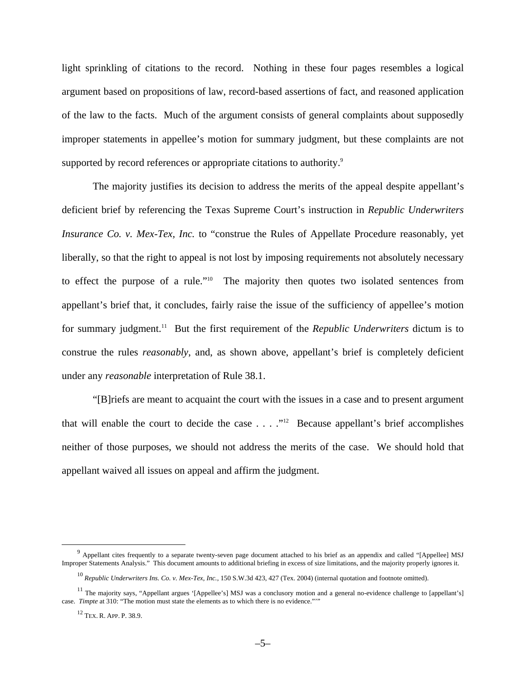light sprinkling of citations to the record. Nothing in these four pages resembles a logical argument based on propositions of law, record-based assertions of fact, and reasoned application of the law to the facts. Much of the argument consists of general complaints about supposedly improper statements in appellee's motion for summary judgment, but these complaints are not supported by record references or appropriate citations to authority.<sup>9</sup>

The majority justifies its decision to address the merits of the appeal despite appellant's deficient brief by referencing the Texas Supreme Court's instruction in *Republic Underwriters Insurance Co. v. Mex-Tex, Inc.* to "construe the Rules of Appellate Procedure reasonably, yet liberally, so that the right to appeal is not lost by imposing requirements not absolutely necessary to effect the purpose of a rule."10 The majority then quotes two isolated sentences from appellant's brief that, it concludes, fairly raise the issue of the sufficiency of appellee's motion for summary judgment.11 But the first requirement of the *Republic Underwriters* dictum is to construe the rules *reasonably*, and, as shown above, appellant's brief is completely deficient under any *reasonable* interpretation of Rule 38.1.

"[B]riefs are meant to acquaint the court with the issues in a case and to present argument that will enable the court to decide the case  $\dots$ . "<sup>12</sup> Because appellant's brief accomplishes neither of those purposes, we should not address the merits of the case. We should hold that appellant waived all issues on appeal and affirm the judgment.

 $\frac{1}{9}$ <sup>9</sup> Appellant cites frequently to a separate twenty-seven page document attached to his brief as an appendix and called "[Appellee] MSJ Improper Statements Analysis." This document amounts to additional briefing in excess of size limitations, and the majority properly ignores it.

<sup>10</sup> *Republic Underwriters Ins. Co. v. Mex-Tex, Inc.*, 150 S.W.3d 423, 427 (Tex. 2004) (internal quotation and footnote omitted).

<sup>&</sup>lt;sup>11</sup> The majority says, "Appellant argues '[Appellee's] MSJ was a conclusory motion and a general no-evidence challenge to [appellant's] case. *Timpte* at 310: "The motion must state the elements as to which there is no evidence."""

<sup>12</sup> TEX. R. APP. P. 38.9.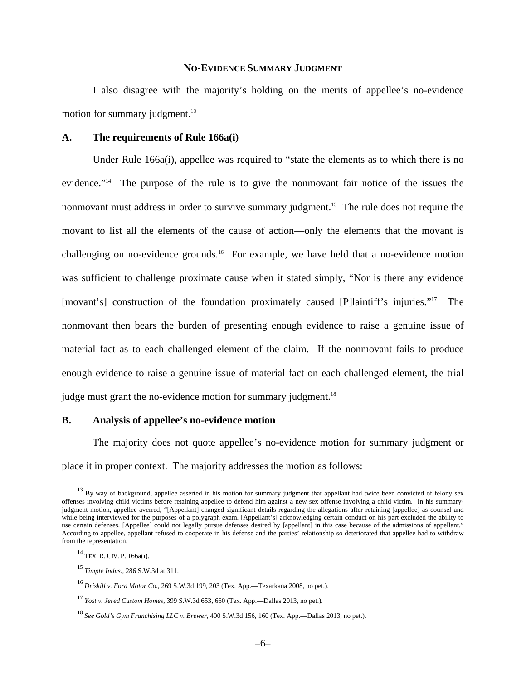#### **NO-EVIDENCE SUMMARY JUDGMENT**

I also disagree with the majority's holding on the merits of appellee's no-evidence motion for summary judgment.<sup>13</sup>

#### **A. The requirements of Rule 166a(i)**

Under Rule 166a(i), appellee was required to "state the elements as to which there is no evidence."14 The purpose of the rule is to give the nonmovant fair notice of the issues the nonmovant must address in order to survive summary judgment.<sup>15</sup> The rule does not require the movant to list all the elements of the cause of action—only the elements that the movant is challenging on no-evidence grounds.<sup>16</sup> For example, we have held that a no-evidence motion was sufficient to challenge proximate cause when it stated simply, "Nor is there any evidence [movant's] construction of the foundation proximately caused [P]laintiff's injuries."<sup>17</sup> The nonmovant then bears the burden of presenting enough evidence to raise a genuine issue of material fact as to each challenged element of the claim. If the nonmovant fails to produce enough evidence to raise a genuine issue of material fact on each challenged element, the trial judge must grant the no-evidence motion for summary judgment.<sup>18</sup>

### **B. Analysis of appellee's no-evidence motion**

The majority does not quote appellee's no-evidence motion for summary judgment or place it in proper context. The majority addresses the motion as follows:

<sup>&</sup>lt;sup>13</sup> By way of background, appellee asserted in his motion for summary judgment that appellant had twice been convicted of felony sex offenses involving child victims before retaining appellee to defend him against a new sex offense involving a child victim. In his summaryjudgment motion, appellee averred, "[Appellant] changed significant details regarding the allegations after retaining [appellee] as counsel and while being interviewed for the purposes of a polygraph exam. [Appellant's] acknowledging certain conduct on his part excluded the ability to use certain defenses. [Appellee] could not legally pursue defenses desired by [appellant] in this case because of the admissions of appellant." According to appellee, appellant refused to cooperate in his defense and the parties' relationship so deteriorated that appellee had to withdraw from the representation.

<sup>14</sup> TEX. R. CIV. P. 166a(i).

<sup>15</sup> *Timpte Indus.*, 286 S.W.3d at 311.

<sup>16</sup> *Driskill v. Ford Motor Co.*, 269 S.W.3d 199, 203 (Tex. App.—Texarkana 2008, no pet.).

<sup>17</sup> *Yost v. Jered Custom Homes*, 399 S.W.3d 653, 660 (Tex. App.—Dallas 2013, no pet.).

<sup>18</sup> *See Gold's Gym Franchising LLC v. Brewer*, 400 S.W.3d 156, 160 (Tex. App.—Dallas 2013, no pet.).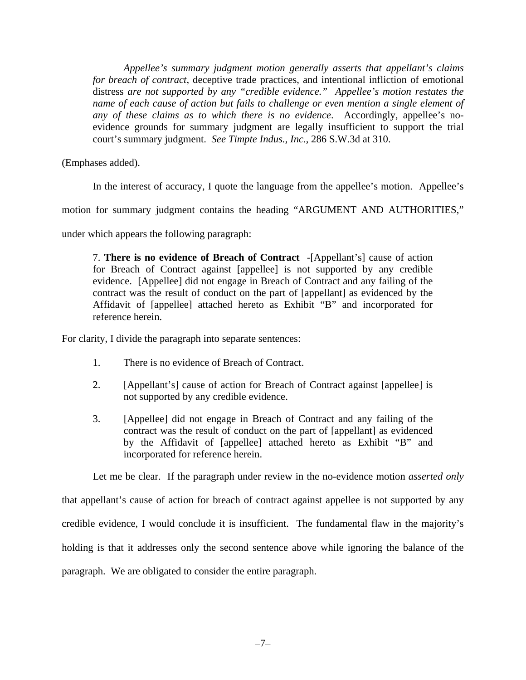*Appellee's summary judgment motion generally asserts that appellant's claims for breach of contract*, deceptive trade practices, and intentional infliction of emotional distress *are not supported by any "credible evidence." Appellee's motion restates the name of each cause of action but fails to challenge or even mention a single element of any of these claims as to which there is no evidence*. Accordingly, appellee's noevidence grounds for summary judgment are legally insufficient to support the trial court's summary judgment. *See Timpte Indus., Inc.*, 286 S.W.3d at 310.

(Emphases added).

In the interest of accuracy, I quote the language from the appellee's motion. Appellee's

motion for summary judgment contains the heading "ARGUMENT AND AUTHORITIES,"

under which appears the following paragraph:

7. **There is no evidence of Breach of Contract** -[Appellant's] cause of action for Breach of Contract against [appellee] is not supported by any credible evidence. [Appellee] did not engage in Breach of Contract and any failing of the contract was the result of conduct on the part of [appellant] as evidenced by the Affidavit of [appellee] attached hereto as Exhibit "B" and incorporated for reference herein.

For clarity, I divide the paragraph into separate sentences:

- 1. There is no evidence of Breach of Contract.
- 2. [Appellant's] cause of action for Breach of Contract against [appellee] is not supported by any credible evidence.
- 3. [Appellee] did not engage in Breach of Contract and any failing of the contract was the result of conduct on the part of [appellant] as evidenced by the Affidavit of [appellee] attached hereto as Exhibit "B" and incorporated for reference herein.

Let me be clear. If the paragraph under review in the no-evidence motion *asserted only*

that appellant's cause of action for breach of contract against appellee is not supported by any credible evidence, I would conclude it is insufficient. The fundamental flaw in the majority's holding is that it addresses only the second sentence above while ignoring the balance of the paragraph. We are obligated to consider the entire paragraph.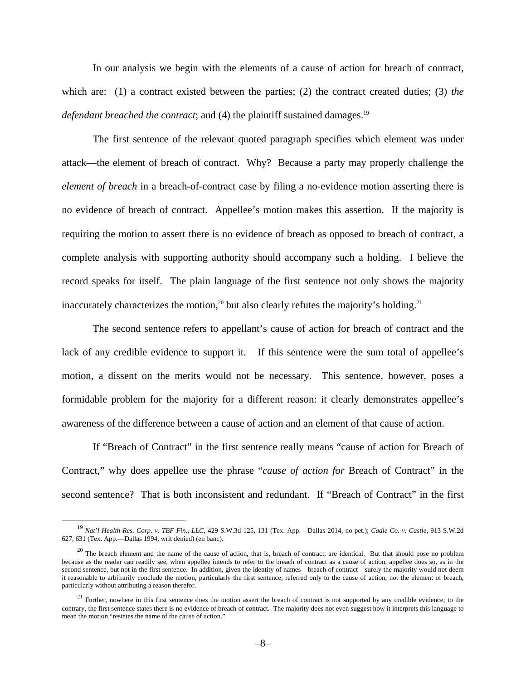In our analysis we begin with the elements of a cause of action for breach of contract, which are: (1) a contract existed between the parties; (2) the contract created duties; (3) *the defendant breached the contract*; and (4) the plaintiff sustained damages.<sup>19</sup>

The first sentence of the relevant quoted paragraph specifies which element was under attack—the element of breach of contract. Why? Because a party may properly challenge the *element of breach* in a breach-of-contract case by filing a no-evidence motion asserting there is no evidence of breach of contract. Appellee's motion makes this assertion. If the majority is requiring the motion to assert there is no evidence of breach as opposed to breach of contract, a complete analysis with supporting authority should accompany such a holding. I believe the record speaks for itself. The plain language of the first sentence not only shows the majority inaccurately characterizes the motion,<sup>20</sup> but also clearly refutes the majority's holding.<sup>21</sup>

The second sentence refers to appellant's cause of action for breach of contract and the lack of any credible evidence to support it. If this sentence were the sum total of appellee's motion, a dissent on the merits would not be necessary. This sentence, however, poses a formidable problem for the majority for a different reason: it clearly demonstrates appellee's awareness of the difference between a cause of action and an element of that cause of action.

If "Breach of Contract" in the first sentence really means "cause of action for Breach of Contract," why does appellee use the phrase "*cause of action for* Breach of Contract" in the second sentence? That is both inconsistent and redundant. If "Breach of Contract" in the first

 <sup>19</sup> *Nat'l Health Res. Corp. v. TBF Fin., LLC*, 429 S.W.3d 125, 131 (Tex. App.—Dallas 2014, no pet.); *Cadle Co. v. Castle*, 913 S.W.2d 627, 631 (Tex. App.—Dallas 1994, writ denied) (en banc).

 $20$  The breach element and the name of the cause of action, that is, breach of contract, are identical. But that should pose no problem because as the reader can readily see, when appellee intends to refer to the breach of contract as a cause of action, appellee does so, as in the second sentence, but not in the first sentence. In addition, given the identity of names—breach of contract—surely the majority would not deem it reasonable to arbitrarily conclude the motion, particularly the first sentence, referred only to the cause of action, not the element of breach, particularly without attributing a reason therefor.

<sup>&</sup>lt;sup>21</sup> Further, nowhere in this first sentence does the motion assert the breach of contract is not supported by any credible evidence; to the contrary, the first sentence states there is no evidence of breach of contract. The majority does not even suggest how it interprets this language to mean the motion "restates the name of the cause of action."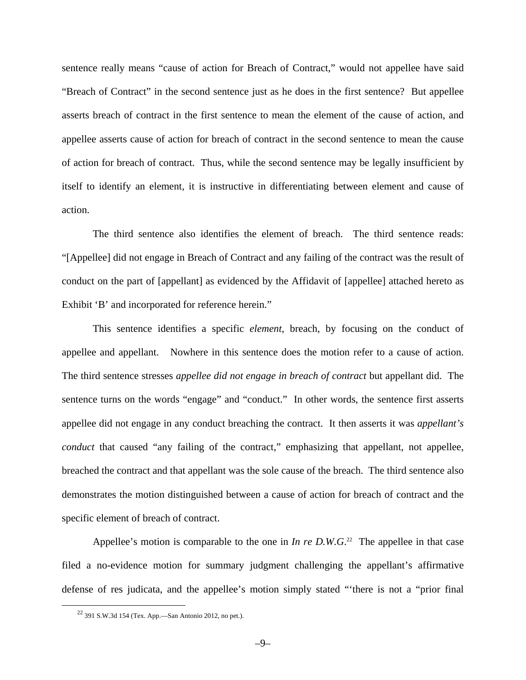sentence really means "cause of action for Breach of Contract," would not appellee have said "Breach of Contract" in the second sentence just as he does in the first sentence? But appellee asserts breach of contract in the first sentence to mean the element of the cause of action, and appellee asserts cause of action for breach of contract in the second sentence to mean the cause of action for breach of contract. Thus, while the second sentence may be legally insufficient by itself to identify an element, it is instructive in differentiating between element and cause of action.

The third sentence also identifies the element of breach. The third sentence reads: "[Appellee] did not engage in Breach of Contract and any failing of the contract was the result of conduct on the part of [appellant] as evidenced by the Affidavit of [appellee] attached hereto as Exhibit 'B' and incorporated for reference herein."

This sentence identifies a specific *element*, breach, by focusing on the conduct of appellee and appellant. Nowhere in this sentence does the motion refer to a cause of action. The third sentence stresses *appellee did not engage in breach of contract* but appellant did. The sentence turns on the words "engage" and "conduct." In other words, the sentence first asserts appellee did not engage in any conduct breaching the contract. It then asserts it was *appellant's conduct* that caused "any failing of the contract," emphasizing that appellant, not appellee, breached the contract and that appellant was the sole cause of the breach. The third sentence also demonstrates the motion distinguished between a cause of action for breach of contract and the specific element of breach of contract.

Appellee's motion is comparable to the one in *In re D.W.G.*<sup>22</sup> The appellee in that case filed a no-evidence motion for summary judgment challenging the appellant's affirmative defense of res judicata, and the appellee's motion simply stated "'there is not a "prior final

 $22$  391 S.W.3d 154 (Tex. App.—San Antonio 2012, no pet.).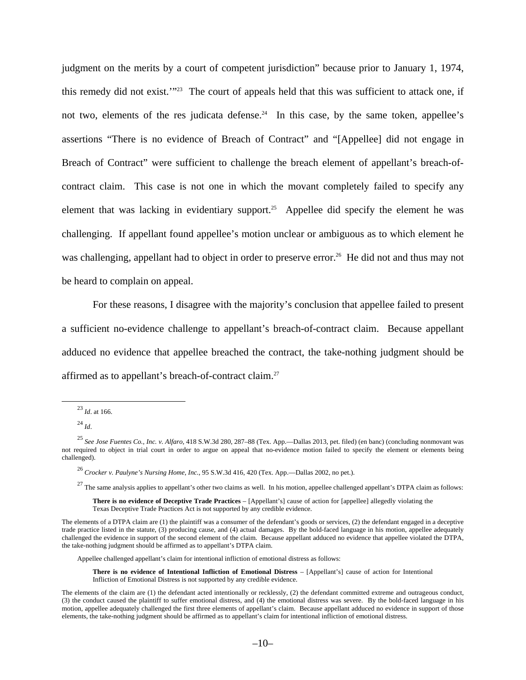judgment on the merits by a court of competent jurisdiction" because prior to January 1, 1974, this remedy did not exist.'"23 The court of appeals held that this was sufficient to attack one, if not two, elements of the res judicata defense.<sup>24</sup> In this case, by the same token, appellee's assertions "There is no evidence of Breach of Contract" and "[Appellee] did not engage in Breach of Contract" were sufficient to challenge the breach element of appellant's breach-ofcontract claim. This case is not one in which the movant completely failed to specify any element that was lacking in evidentiary support.<sup>25</sup> Appellee did specify the element he was challenging. If appellant found appellee's motion unclear or ambiguous as to which element he was challenging, appellant had to object in order to preserve error.<sup>26</sup> He did not and thus may not be heard to complain on appeal.

For these reasons, I disagree with the majority's conclusion that appellee failed to present a sufficient no-evidence challenge to appellant's breach-of-contract claim. Because appellant adduced no evidence that appellee breached the contract, the take-nothing judgment should be affirmed as to appellant's breach-of-contract claim.27

 $27$  The same analysis applies to appellant's other two claims as well. In his motion, appellee challenged appellant's DTPA claim as follows:

**There is no evidence of Deceptive Trade Practices** – [Appellant's] cause of action for [appellee] allegedly violating the Texas Deceptive Trade Practices Act is not supported by any credible evidence.

Appellee challenged appellant's claim for intentional infliction of emotional distress as follows:

**There is no evidence of Intentional Infliction of Emotional Distress** – [Appellant's] cause of action for Intentional Infliction of Emotional Distress is not supported by any credible evidence.

 <sup>23</sup> *Id*. at 166.

<sup>24</sup> *Id*.

<sup>25</sup> *See Jose Fuentes Co., Inc. v. Alfaro*, 418 S.W.3d 280, 287–88 (Tex. App.—Dallas 2013, pet. filed) (en banc) (concluding nonmovant was not required to object in trial court in order to argue on appeal that no-evidence motion failed to specify the element or elements being challenged).

<sup>26</sup> *Crocker v. Paulyne's Nursing Home, Inc.*, 95 S.W.3d 416, 420 (Tex. App.—Dallas 2002, no pet.).

The elements of a DTPA claim are (1) the plaintiff was a consumer of the defendant's goods or services, (2) the defendant engaged in a deceptive trade practice listed in the statute, (3) producing cause, and (4) actual damages. By the bold-faced language in his motion, appellee adequately challenged the evidence in support of the second element of the claim. Because appellant adduced no evidence that appellee violated the DTPA, the take-nothing judgment should be affirmed as to appellant's DTPA claim.

The elements of the claim are (1) the defendant acted intentionally or recklessly, (2) the defendant committed extreme and outrageous conduct, (3) the conduct caused the plaintiff to suffer emotional distress, and (4) the emotional distress was severe. By the bold-faced language in his motion, appellee adequately challenged the first three elements of appellant's claim. Because appellant adduced no evidence in support of those elements, the take-nothing judgment should be affirmed as to appellant's claim for intentional infliction of emotional distress.